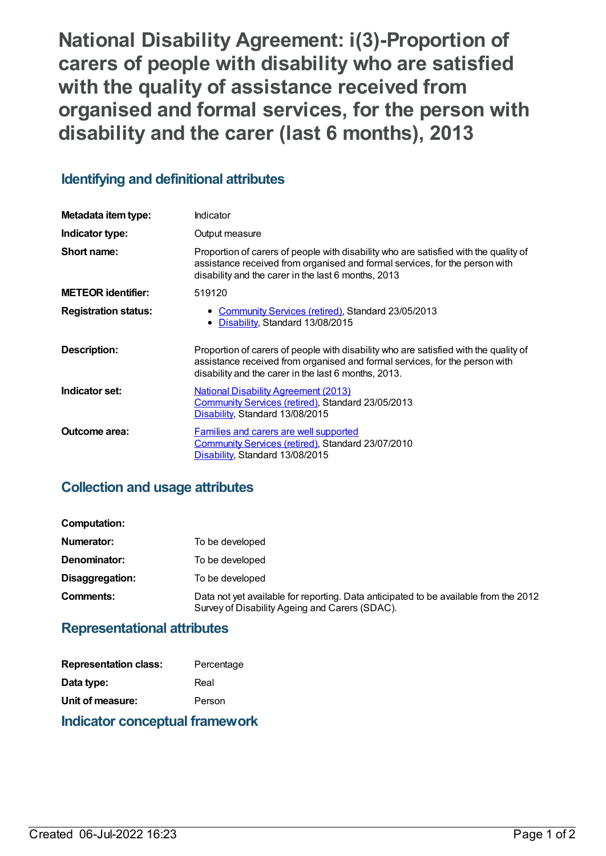**National Disability Agreement: i(3)-Proportion of carers of people with disability who are satisfied with the quality of assistance received from organised and formal services, for the person with disability and the carer (last 6 months), 2013**

## **Identifying and definitional attributes**

| Metadata item type:         | Indicator                                                                                                                                                                                                                   |
|-----------------------------|-----------------------------------------------------------------------------------------------------------------------------------------------------------------------------------------------------------------------------|
| Indicator type:             | Output measure                                                                                                                                                                                                              |
| Short name:                 | Proportion of carers of people with disability who are satisfied with the quality of<br>assistance received from organised and formal services, for the person with<br>disability and the carer in the last 6 months, 2013  |
| <b>METEOR identifier:</b>   | 519120                                                                                                                                                                                                                      |
| <b>Registration status:</b> | • Community Services (retired), Standard 23/05/2013<br>• Disability, Standard 13/08/2015                                                                                                                                    |
| Description:                | Proportion of carers of people with disability who are satisfied with the quality of<br>assistance received from organised and formal services, for the person with<br>disability and the carer in the last 6 months, 2013. |
| Indicator set:              | <b>National Disability Agreement (2013)</b><br>Community Services (retired), Standard 23/05/2013<br>Disability, Standard 13/08/2015                                                                                         |
| Outcome area:               | Families and carers are well supported<br>Community Services (retired), Standard 23/07/2010<br>Disability, Standard 13/08/2015                                                                                              |

## **Collection and usage attributes**

| Computation:    |                                                                                                                                        |
|-----------------|----------------------------------------------------------------------------------------------------------------------------------------|
| Numerator:      | To be developed                                                                                                                        |
| Denominator:    | To be developed                                                                                                                        |
| Disaggregation: | To be developed                                                                                                                        |
| Comments:       | Data not yet available for reporting. Data anticipated to be available from the 2012<br>Survey of Disability Ageing and Carers (SDAC). |

### **Representational attributes**

| Indicator conceptual framework |            |  |
|--------------------------------|------------|--|
| Unit of measure:               | Person     |  |
| Data type:                     | Real       |  |
| <b>Representation class:</b>   | Percentage |  |